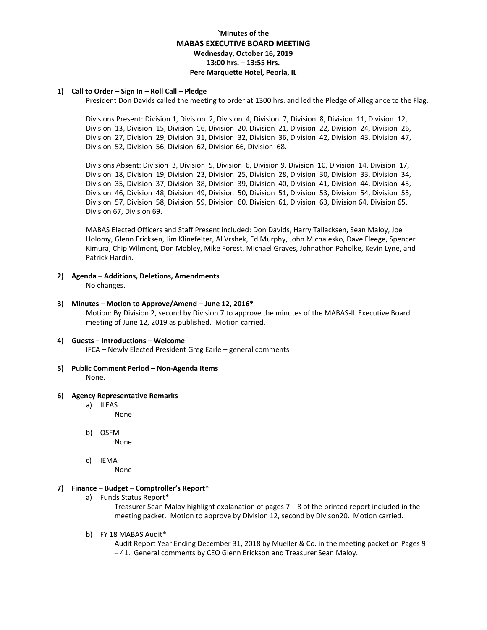# **`Minutes of the MABAS EXECUTIVE BOARD MEETING Wednesday, October 16, 2019 13:00 hrs. – 13:55 Hrs. Pere Marquette Hotel, Peoria, IL**

#### **1) Call to Order – Sign In – Roll Call – Pledge**

President Don Davids called the meeting to order at 1300 hrs. and led the Pledge of Allegiance to the Flag.

Divisions Present: Division 1, Division 2, Division 4, Division 7, Division 8, Division 11, Division 12, Division 13, Division 15, Division 16, Division 20, Division 21, Division 22, Division 24, Division 26, Division 27, Division 29, Division 31, Division 32, Division 36, Division 42, Division 43, Division 47, Division 52, Division 56, Division 62, Division 66, Division 68.

Divisions Absent: Division 3, Division 5, Division 6, Division 9, Division 10, Division 14, Division 17, Division 18, Division 19, Division 23, Division 25, Division 28, Division 30, Division 33, Division 34, Division 35, Division 37, Division 38, Division 39, Division 40, Division 41, Division 44, Division 45, Division 46, Division 48, Division 49, Division 50, Division 51, Division 53, Division 54, Division 55, Division 57, Division 58, Division 59, Division 60, Division 61, Division 63, Division 64, Division 65, Division 67, Division 69.

MABAS Elected Officers and Staff Present included: Don Davids, Harry Tallacksen, Sean Maloy, Joe Holomy, Glenn Ericksen, Jim Klinefelter, Al Vrshek, Ed Murphy, John Michalesko, Dave Fleege, Spencer Kimura, Chip Wilmont, Don Mobley, Mike Forest, Michael Graves, Johnathon Paholke, Kevin Lyne, and Patrick Hardin.

- **2) Agenda – Additions, Deletions, Amendments** No changes.
- **3) Minutes – Motion to Approve/Amend – June 12, 2016\*** Motion: By Division 2, second by Division 7 to approve the minutes of the MABAS-IL Executive Board meeting of June 12, 2019 as published. Motion carried.

### **4) Guests – Introductions – Welcome**

IFCA – Newly Elected President Greg Earle – general comments

- **5) Public Comment Period – Non-Agenda Items** None.
- **6) Agency Representative Remarks**
	- a) ILEAS
		- None
	- b) OSFM None
	- c) IEMA

None

### **7) Finance – Budget – Comptroller's Report\***

a) Funds Status Report\*

Treasurer Sean Maloy highlight explanation of pages 7 – 8 of the printed report included in the meeting packet. Motion to approve by Division 12, second by Divison20. Motion carried.

b) FY 18 MABAS Audit\*

Audit Report Year Ending December 31, 2018 by Mueller & Co. in the meeting packet on Pages 9 – 41. General comments by CEO Glenn Erickson and Treasurer Sean Maloy.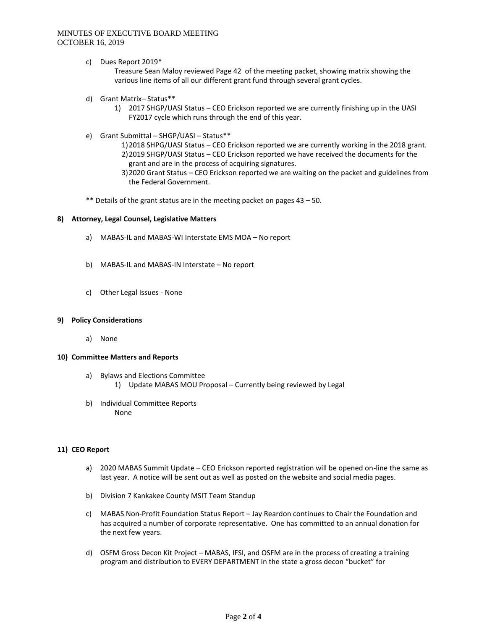## MINUTES OF EXECUTIVE BOARD MEETING OCTOBER 16, 2019

c) Dues Report 2019\*

Treasure Sean Maloy reviewed Page 42 of the meeting packet, showing matrix showing the various line items of all our different grant fund through several grant cycles.

- d) Grant Matrix– Status\*\*
	- 1) 2017 SHGP/UASI Status CEO Erickson reported we are currently finishing up in the UASI FY2017 cycle which runs through the end of this year.
- e) Grant Submittal SHGP/UASI Status\*\*
	- 1)2018 SHPG/UASI Status CEO Erickson reported we are currently working in the 2018 grant. 2)2019 SHGP/UASI Status – CEO Erickson reported we have received the documents for the grant and are in the process of acquiring signatures.
	- 3)2020 Grant Status CEO Erickson reported we are waiting on the packet and guidelines from the Federal Government.
- \*\* Details of the grant status are in the meeting packet on pages 43 50.

#### **8) Attorney, Legal Counsel, Legislative Matters**

- a) MABAS-IL and MABAS-WI Interstate EMS MOA No report
- b) MABAS-IL and MABAS-IN Interstate No report
- c) Other Legal Issues None

#### **9) Policy Considerations**

a) None

#### **10) Committee Matters and Reports**

- a) Bylaws and Elections Committee 1) Update MABAS MOU Proposal – Currently being reviewed by Legal
- b) Individual Committee Reports None

### **11) CEO Report**

- a) 2020 MABAS Summit Update CEO Erickson reported registration will be opened on-line the same as last year. A notice will be sent out as well as posted on the website and social media pages.
- b) Division 7 Kankakee County MSIT Team Standup
- c) MABAS Non-Profit Foundation Status Report Jay Reardon continues to Chair the Foundation and has acquired a number of corporate representative. One has committed to an annual donation for the next few years.
- d) OSFM Gross Decon Kit Project MABAS, IFSI, and OSFM are in the process of creating a training program and distribution to EVERY DEPARTMENT in the state a gross decon "bucket" for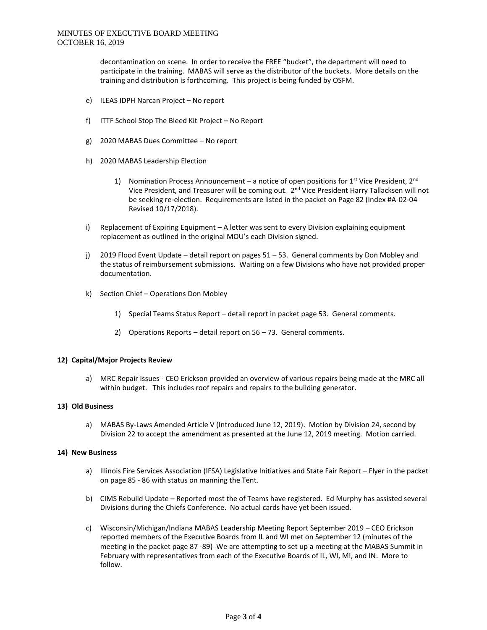decontamination on scene. In order to receive the FREE "bucket", the department will need to participate in the training. MABAS will serve as the distributor of the buckets. More details on the training and distribution is forthcoming. This project is being funded by OSFM.

- e) ILEAS IDPH Narcan Project No report
- f) ITTF School Stop The Bleed Kit Project No Report
- g) 2020 MABAS Dues Committee No report
- h) 2020 MABAS Leadership Election
	- 1) Nomination Process Announcement a notice of open positions for  $1<sup>st</sup>$  Vice President,  $2<sup>nd</sup>$ Vice President, and Treasurer will be coming out. 2<sup>nd</sup> Vice President Harry Tallacksen will not be seeking re-election. Requirements are listed in the packet on Page 82 (Index #A-02-04 Revised 10/17/2018).
- i) Replacement of Expiring Equipment A letter was sent to every Division explaining equipment replacement as outlined in the original MOU's each Division signed.
- j) 2019 Flood Event Update detail report on pages 51 53. General comments by Don Mobley and the status of reimbursement submissions. Waiting on a few Divisions who have not provided proper documentation.
- k) Section Chief Operations Don Mobley
	- 1) Special Teams Status Report detail report in packet page 53. General comments.
	- 2) Operations Reports detail report on 56 73. General comments.

### **12) Capital/Major Projects Review**

a) MRC Repair Issues - CEO Erickson provided an overview of various repairs being made at the MRC all within budget. This includes roof repairs and repairs to the building generator.

## **13) Old Business**

a) MABAS By-Laws Amended Article V (Introduced June 12, 2019). Motion by Division 24, second by Division 22 to accept the amendment as presented at the June 12, 2019 meeting. Motion carried.

### **14) New Business**

- a) Illinois Fire Services Association (IFSA) Legislative Initiatives and State Fair Report Flyer in the packet on page 85 - 86 with status on manning the Tent.
- b) CIMS Rebuild Update Reported most the of Teams have registered. Ed Murphy has assisted several Divisions during the Chiefs Conference. No actual cards have yet been issued.
- c) Wisconsin/Michigan/Indiana MABAS Leadership Meeting Report September 2019 CEO Erickson reported members of the Executive Boards from IL and WI met on September 12 (minutes of the meeting in the packet page 87 -89) We are attempting to set up a meeting at the MABAS Summit in February with representatives from each of the Executive Boards of IL, WI, MI, and IN. More to follow.